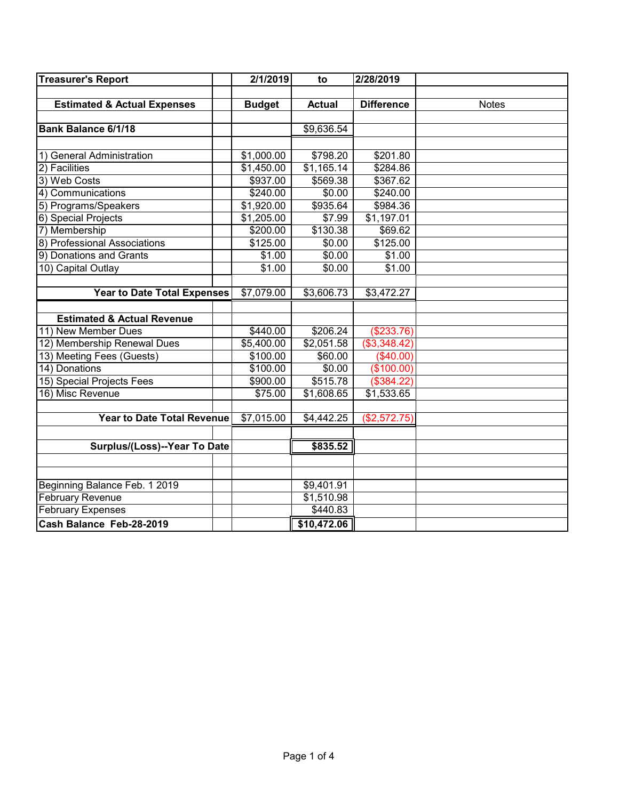| <b>Treasurer's Report</b>              | 2/1/2019      | to            | 2/28/2019         |              |
|----------------------------------------|---------------|---------------|-------------------|--------------|
|                                        |               |               |                   |              |
| <b>Estimated &amp; Actual Expenses</b> | <b>Budget</b> | <b>Actual</b> | <b>Difference</b> | <b>Notes</b> |
|                                        |               |               |                   |              |
| <b>Bank Balance 6/1/18</b>             |               | \$9,636.54    |                   |              |
|                                        |               |               |                   |              |
| 1) General Administration              | \$1,000.00    | \$798.20      | \$201.80          |              |
| 2) Facilities                          | \$1,450.00    | \$1,165.14    | \$284.86          |              |
| 3) Web Costs                           | \$937.00      | \$569.38      | \$367.62          |              |
| 4) Communications                      | \$240.00      | \$0.00        | \$240.00          |              |
| 5) Programs/Speakers                   | \$1,920.00    | \$935.64      | \$984.36          |              |
| 6) Special Projects                    | \$1,205.00    | \$7.99        | \$1,197.01        |              |
| 7) Membership                          | \$200.00      | \$130.38      | \$69.62           |              |
| 8) Professional Associations           | \$125.00      | \$0.00        | \$125.00          |              |
| 9) Donations and Grants                | \$1.00        | \$0.00        | \$1.00            |              |
| 10) Capital Outlay                     | \$1.00        | \$0.00        | \$1.00            |              |
|                                        |               |               |                   |              |
| <b>Year to Date Total Expenses</b>     | \$7,079.00    | \$3,606.73    | \$3,472.27        |              |
|                                        |               |               |                   |              |
| <b>Estimated &amp; Actual Revenue</b>  |               |               |                   |              |
| 11) New Member Dues                    | \$440.00      | \$206.24      | (\$233.76)        |              |
| 12) Membership Renewal Dues            | \$5,400.00    | \$2,051.58    | (\$3,348.42)      |              |
| 13) Meeting Fees (Guests)              | \$100.00      | \$60.00       | (\$40.00)         |              |
| 14) Donations                          | \$100.00      | \$0.00        | (\$100.00)        |              |
| 15) Special Projects Fees              | \$900.00      | \$515.78      | (\$384.22)        |              |
| 16) Misc Revenue                       | \$75.00       | \$1,608.65    | \$1,533.65        |              |
|                                        |               |               |                   |              |
| Year to Date Total Revenue             | \$7,015.00    | \$4,442.25    | (\$2,572.75)      |              |
|                                        |               |               |                   |              |
| Surplus/(Loss)--Year To Date           |               | \$835.52      |                   |              |
|                                        |               |               |                   |              |
|                                        |               |               |                   |              |
| Beginning Balance Feb. 1 2019          |               | \$9,401.91    |                   |              |
| <b>February Revenue</b>                |               | \$1,510.98    |                   |              |
| <b>February Expenses</b>               |               | \$440.83      |                   |              |
| Cash Balance Feb-28-2019               |               | \$10,472.06   |                   |              |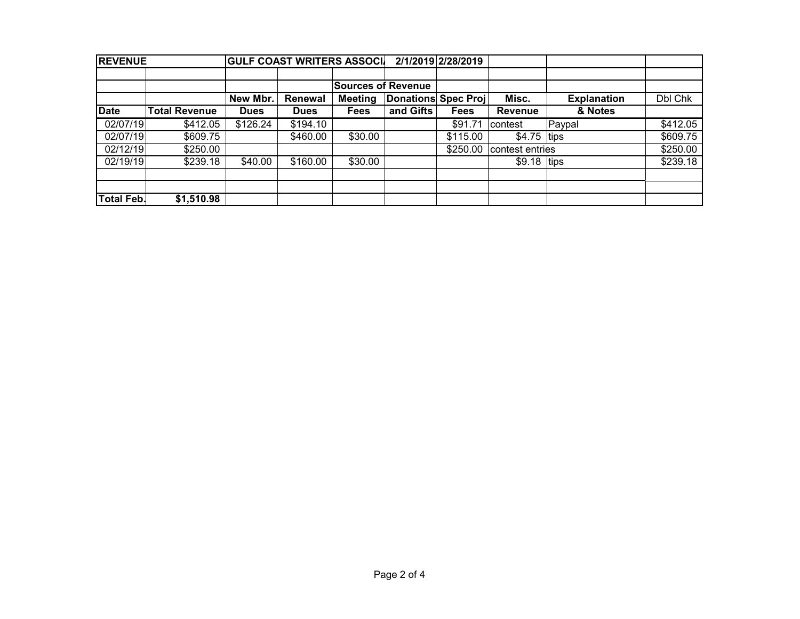| <b>REVENUE</b>    |                      |             |             | <b>GULF COAST WRITERS ASSOCIA</b> |                            | 2/1/2019 2/28/2019 |                 |                    |          |
|-------------------|----------------------|-------------|-------------|-----------------------------------|----------------------------|--------------------|-----------------|--------------------|----------|
|                   |                      |             |             |                                   |                            |                    |                 |                    |          |
|                   |                      |             |             | <b>Sources of Revenue</b>         |                            |                    |                 |                    |          |
|                   |                      | New Mbr.    | Renewal     | <b>Meeting</b>                    | <b>Donations Spec Proj</b> |                    | Misc.           | <b>Explanation</b> | Dbl Chk  |
| <b>Date</b>       | <b>Total Revenue</b> | <b>Dues</b> | <b>Dues</b> | Fees                              | and Gifts                  | <b>Fees</b>        | <b>Revenue</b>  | & Notes            |          |
| 02/07/19          | \$412.05             | \$126.24    | \$194.10    |                                   |                            | \$91.71            | contest         | Paypal             | \$412.05 |
| 02/07/19          | \$609.75             |             | \$460.00    | \$30.00                           |                            | \$115.00           | $$4.75$ tips    |                    | \$609.75 |
| 02/12/19          | \$250.00             |             |             |                                   |                            | \$250.00           | contest entries |                    | \$250.00 |
| 02/19/19          | \$239.18             | \$40.00     | \$160.00    | \$30.00                           |                            |                    | $$9.18$ tips    |                    | \$239.18 |
|                   |                      |             |             |                                   |                            |                    |                 |                    |          |
| <b>Total Feb.</b> | \$1,510.98           |             |             |                                   |                            |                    |                 |                    |          |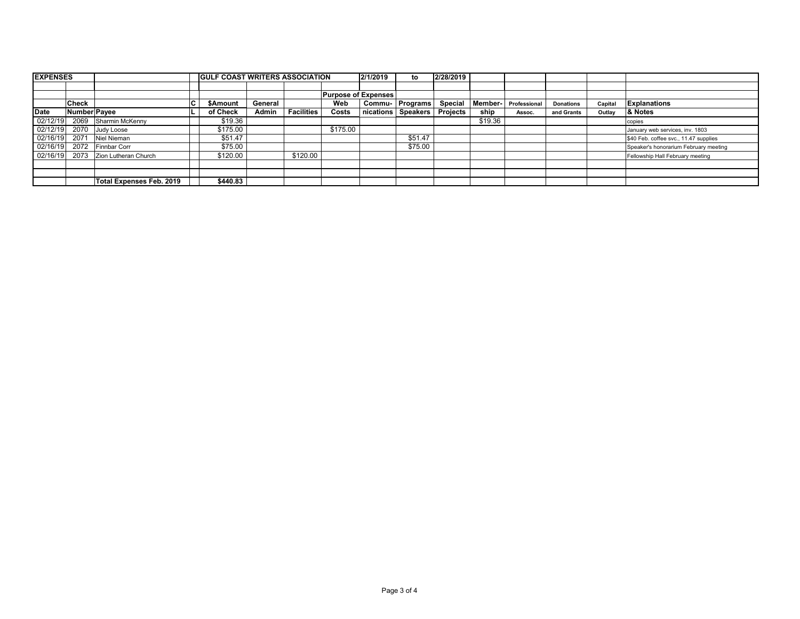| <b>EXPENSES</b> |              |                          |   | <b>GULF COAST WRITERS ASSOCIATION</b> |         |                   |          | 2/1/2019                   | to                   | 2/28/2019       |         |              |                  |         |                                       |
|-----------------|--------------|--------------------------|---|---------------------------------------|---------|-------------------|----------|----------------------------|----------------------|-----------------|---------|--------------|------------------|---------|---------------------------------------|
|                 |              |                          |   |                                       |         |                   |          |                            |                      |                 |         |              |                  |         |                                       |
|                 |              |                          |   |                                       |         |                   |          | <b>Purpose of Expenses</b> |                      |                 |         |              |                  |         |                                       |
|                 | Check        |                          | C | <b>\$Amount</b>                       | General |                   | Web      |                            | Commu-   Programs    | Special         | Member- | Professional | <b>Donations</b> | Capital | <b>Explanations</b>                   |
| <b>Date</b>     | Number Payee |                          |   | of Check                              | Admin   | <b>Facilities</b> | Costs    |                            | nications   Speakers | <b>Projects</b> | ship    | Assoc.       | and Grants       | Outlav  | & Notes                               |
| 02/12/19        | 2069         | Sharmin McKenny          |   | \$19.36                               |         |                   |          |                            |                      |                 | \$19.36 |              |                  |         | copies                                |
| 02/12/19        | 2070         | Judy Loose               |   | \$175.00                              |         |                   | \$175.00 |                            |                      |                 |         |              |                  |         | January web services, inv. 1803       |
| 02/16/19        | 2071         | Niel Nieman              |   | \$51.47                               |         |                   |          |                            | \$51.47              |                 |         |              |                  |         | \$40 Feb. coffee svc., 11.47 supplies |
| 02/16/19        | 2072         | Finnbar Corr             |   | \$75.00                               |         |                   |          |                            | \$75.00              |                 |         |              |                  |         | Speaker's honorarium February meeting |
| 02/16/19        | 2073         | Zion Lutheran Church     |   | \$120.00                              |         | \$120.00          |          |                            |                      |                 |         |              |                  |         | Fellowship Hall February meeting      |
|                 |              |                          |   |                                       |         |                   |          |                            |                      |                 |         |              |                  |         |                                       |
|                 |              |                          |   |                                       |         |                   |          |                            |                      |                 |         |              |                  |         |                                       |
|                 |              | Total Expenses Feb. 2019 |   | \$440.83                              |         |                   |          |                            |                      |                 |         |              |                  |         |                                       |